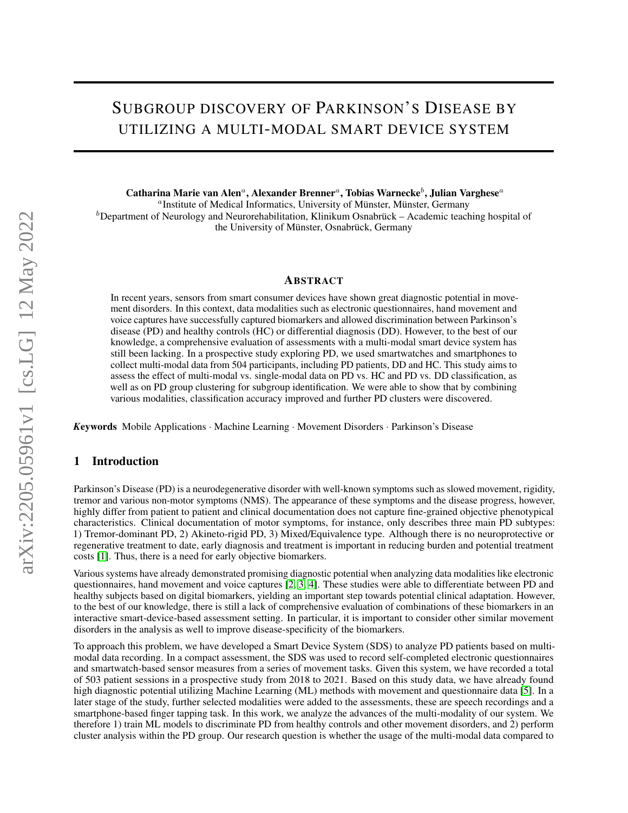# SUBGROUP DISCOVERY OF PARKINSON'S DISEASE BY UTILIZING A MULTI-MODAL SMART DEVICE SYSTEM

Catharina Marie van Alen<sup>a</sup>, Alexander Brenner<sup>a</sup>, Tobias Warnecke<sup>b</sup>, Julian Varghese<sup>a</sup>

a Institute of Medical Informatics, University of Münster, Münster, Germany  ${}^b$ Department of Neurology and Neurorehabilitation, Klinikum Osnabrück – Academic teaching hospital of the University of Münster, Osnabrück, Germany

#### ABSTRACT

In recent years, sensors from smart consumer devices have shown great diagnostic potential in movement disorders. In this context, data modalities such as electronic questionnaires, hand movement and voice captures have successfully captured biomarkers and allowed discrimination between Parkinson's disease (PD) and healthy controls (HC) or differential diagnosis (DD). However, to the best of our knowledge, a comprehensive evaluation of assessments with a multi-modal smart device system has still been lacking. In a prospective study exploring PD, we used smartwatches and smartphones to collect multi-modal data from 504 participants, including PD patients, DD and HC. This study aims to assess the effect of multi-modal vs. single-modal data on PD vs. HC and PD vs. DD classification, as well as on PD group clustering for subgroup identification. We were able to show that by combining various modalities, classification accuracy improved and further PD clusters were discovered.

*K*eywords Mobile Applications · Machine Learning · Movement Disorders · Parkinson's Disease

#### 1 Introduction

Parkinson's Disease (PD) is a neurodegenerative disorder with well-known symptoms such as slowed movement, rigidity, tremor and various non-motor symptoms (NMS). The appearance of these symptoms and the disease progress, however, highly differ from patient to patient and clinical documentation does not capture fine-grained objective phenotypical characteristics. Clinical documentation of motor symptoms, for instance, only describes three main PD subtypes: 1) Tremor-dominant PD, 2) Akineto-rigid PD, 3) Mixed/Equivalence type. Although there is no neuroprotective or regenerative treatment to date, early diagnosis and treatment is important in reducing burden and potential treatment costs [\[1\]](#page-4-0). Thus, there is a need for early objective biomarkers.

Various systems have already demonstrated promising diagnostic potential when analyzing data modalities like electronic questionnaires, hand movement and voice captures [\[2,](#page-4-1) [3,](#page-4-2) [4\]](#page-4-3). These studies were able to differentiate between PD and healthy subjects based on digital biomarkers, yielding an important step towards potential clinical adaptation. However, to the best of our knowledge, there is still a lack of comprehensive evaluation of combinations of these biomarkers in an interactive smart-device-based assessment setting. In particular, it is important to consider other similar movement disorders in the analysis as well to improve disease-specificity of the biomarkers.

To approach this problem, we have developed a Smart Device System (SDS) to analyze PD patients based on multimodal data recording. In a compact assessment, the SDS was used to record self-completed electronic questionnaires and smartwatch-based sensor measures from a series of movement tasks. Given this system, we have recorded a total of 503 patient sessions in a prospective study from 2018 to 2021. Based on this study data, we have already found high diagnostic potential utilizing Machine Learning (ML) methods with movement and questionnaire data [\[5\]](#page-4-4). In a later stage of the study, further selected modalities were added to the assessments, these are speech recordings and a smartphone-based finger tapping task. In this work, we analyze the advances of the multi-modality of our system. We therefore 1) train ML models to discriminate PD from healthy controls and other movement disorders, and 2) perform cluster analysis within the PD group. Our research question is whether the usage of the multi-modal data compared to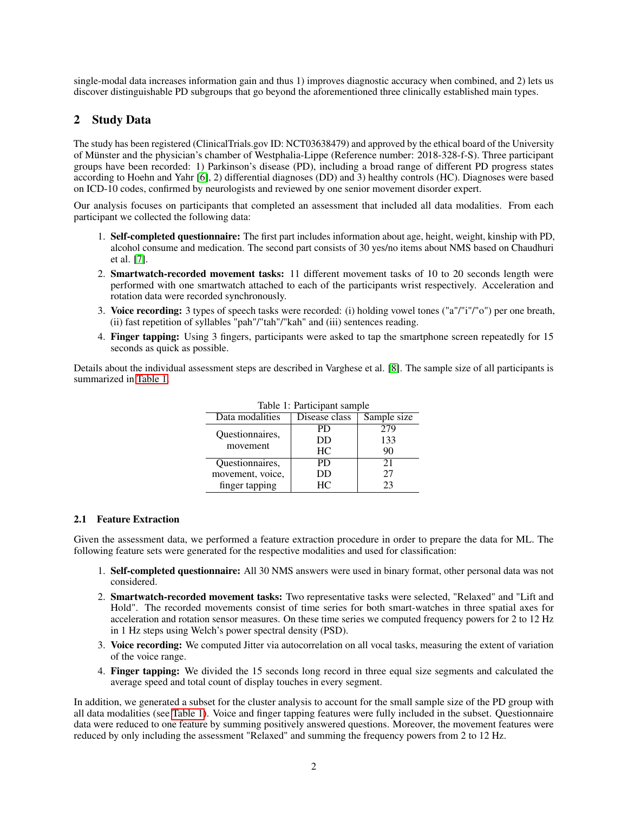single-modal data increases information gain and thus 1) improves diagnostic accuracy when combined, and 2) lets us discover distinguishable PD subgroups that go beyond the aforementioned three clinically established main types.

## 2 Study Data

The study has been registered (ClinicalTrials.gov ID: NCT03638479) and approved by the ethical board of the University of Münster and the physician's chamber of Westphalia-Lippe (Reference number: 2018-328-f-S). Three participant groups have been recorded: 1) Parkinson's disease (PD), including a broad range of different PD progress states according to Hoehn and Yahr [\[6\]](#page-4-5), 2) differential diagnoses (DD) and 3) healthy controls (HC). Diagnoses were based on ICD-10 codes, confirmed by neurologists and reviewed by one senior movement disorder expert.

Our analysis focuses on participants that completed an assessment that included all data modalities. From each participant we collected the following data:

- 1. Self-completed questionnaire: The first part includes information about age, height, weight, kinship with PD, alcohol consume and medication. The second part consists of 30 yes/no items about NMS based on Chaudhuri et al. [\[7\]](#page-4-6).
- 2. Smartwatch-recorded movement tasks: 11 different movement tasks of 10 to 20 seconds length were performed with one smartwatch attached to each of the participants wrist respectively. Acceleration and rotation data were recorded synchronously.
- 3. Voice recording: 3 types of speech tasks were recorded: (i) holding vowel tones ("a"/"i"/"o") per one breath, (ii) fast repetition of syllables "pah"/"tah"/"kah" and (iii) sentences reading.
- 4. Finger tapping: Using 3 fingers, participants were asked to tap the smartphone screen repeatedly for 15 seconds as quick as possible.

<span id="page-1-0"></span>Details about the individual assessment steps are described in Varghese et al. [\[8\]](#page-5-0). The sample size of all participants is summarized in [Table 1.](#page-1-0)

| Table 1: Participant sample |               |             |  |  |  |  |
|-----------------------------|---------------|-------------|--|--|--|--|
| Data modalities             | Disease class | Sample size |  |  |  |  |
| Questionnaires,<br>movement | PD            | 279         |  |  |  |  |
|                             | DD            | 133         |  |  |  |  |
|                             | HС            | 90          |  |  |  |  |
| Questionnaires,             | PD.           | 21          |  |  |  |  |
| movement, voice,            | DD            | 27          |  |  |  |  |
| finger tapping              | HC.           | 23          |  |  |  |  |

## 2.1 Feature Extraction

Given the assessment data, we performed a feature extraction procedure in order to prepare the data for ML. The following feature sets were generated for the respective modalities and used for classification:

- 1. Self-completed questionnaire: All 30 NMS answers were used in binary format, other personal data was not considered.
- 2. Smartwatch-recorded movement tasks: Two representative tasks were selected, "Relaxed" and "Lift and Hold". The recorded movements consist of time series for both smart-watches in three spatial axes for acceleration and rotation sensor measures. On these time series we computed frequency powers for 2 to 12 Hz in 1 Hz steps using Welch's power spectral density (PSD).
- 3. Voice recording: We computed Jitter via autocorrelation on all vocal tasks, measuring the extent of variation of the voice range.
- 4. Finger tapping: We divided the 15 seconds long record in three equal size segments and calculated the average speed and total count of display touches in every segment.

In addition, we generated a subset for the cluster analysis to account for the small sample size of the PD group with all data modalities (see [Table 1\)](#page-1-0). Voice and finger tapping features were fully included in the subset. Questionnaire data were reduced to one feature by summing positively answered questions. Moreover, the movement features were reduced by only including the assessment "Relaxed" and summing the frequency powers from 2 to 12 Hz.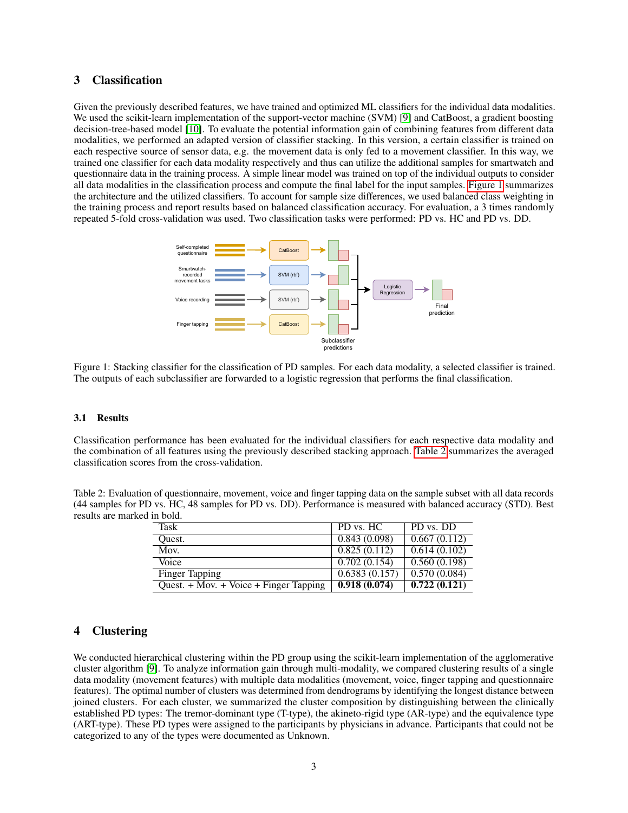## 3 Classification

Given the previously described features, we have trained and optimized ML classifiers for the individual data modalities. We used the scikit-learn implementation of the support-vector machine (SVM) [\[9\]](#page-5-1) and CatBoost, a gradient boosting decision-tree-based model [\[10\]](#page-5-2). To evaluate the potential information gain of combining features from different data modalities, we performed an adapted version of classifier stacking. In this version, a certain classifier is trained on each respective source of sensor data, e.g. the movement data is only fed to a movement classifier. In this way, we trained one classifier for each data modality respectively and thus can utilize the additional samples for smartwatch and questionnaire data in the training process. A simple linear model was trained on top of the individual outputs to consider all data modalities in the classification process and compute the final label for the input samples. [Figure 1](#page-2-0) summarizes the architecture and the utilized classifiers. To account for sample size differences, we used balanced class weighting in the training process and report results based on balanced classification accuracy. For evaluation, a 3 times randomly repeated 5-fold cross-validation was used. Two classification tasks were performed: PD vs. HC and PD vs. DD.

<span id="page-2-0"></span>

Figure 1: Stacking classifier for the classification of PD samples. For each data modality, a selected classifier is trained. The outputs of each subclassifier are forwarded to a logistic regression that performs the final classification.

#### 3.1 Results

Classification performance has been evaluated for the individual classifiers for each respective data modality and the combination of all features using the previously described stacking approach. [Table 2](#page-2-1) summarizes the averaged classification scores from the cross-validation.

<span id="page-2-1"></span>Table 2: Evaluation of questionnaire, movement, voice and finger tapping data on the sample subset with all data records (44 samples for PD vs. HC, 48 samples for PD vs. DD). Performance is measured with balanced accuracy (STD). Best results are marked in bold.

| Task                                         | PD vs. HC     | PD vs. DD    |
|----------------------------------------------|---------------|--------------|
| Ouest.                                       | 0.843(0.098)  | 0.667(0.112) |
| Mov.                                         | 0.825(0.112)  | 0.614(0.102) |
| Voice                                        | 0.702(0.154)  | 0.560(0.198) |
| <b>Finger Tapping</b>                        | 0.6383(0.157) | 0.570(0.084) |
| Quest. $+$ Mov. $+$ Voice $+$ Finger Tapping | 0.918(0.074)  | 0.722(0.121) |

## 4 Clustering

We conducted hierarchical clustering within the PD group using the scikit-learn implementation of the agglomerative cluster algorithm [\[9\]](#page-5-1). To analyze information gain through multi-modality, we compared clustering results of a single data modality (movement features) with multiple data modalities (movement, voice, finger tapping and questionnaire features). The optimal number of clusters was determined from dendrograms by identifying the longest distance between joined clusters. For each cluster, we summarized the cluster composition by distinguishing between the clinically established PD types: The tremor-dominant type (T-type), the akineto-rigid type (AR-type) and the equivalence type (ART-type). These PD types were assigned to the participants by physicians in advance. Participants that could not be categorized to any of the types were documented as Unknown.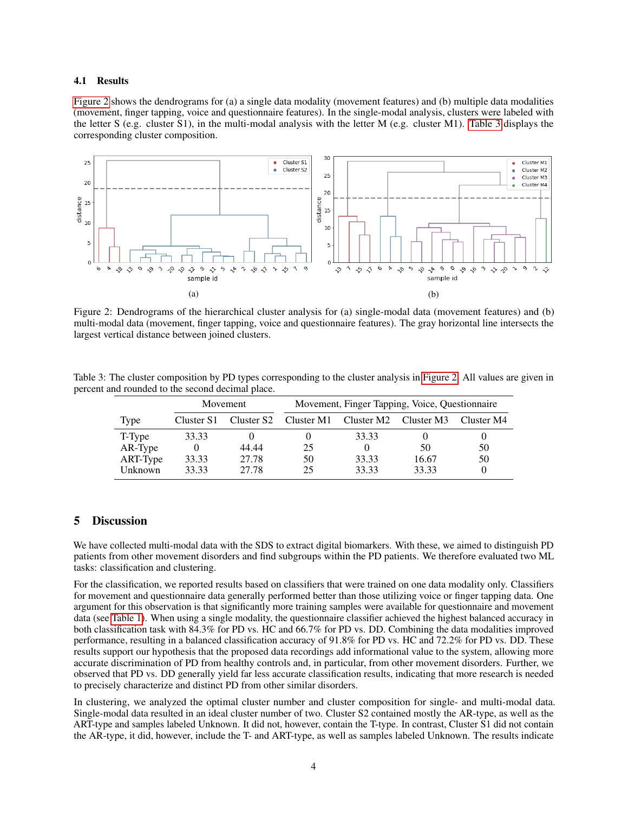#### 4.1 Results

[Figure 2](#page-3-0) shows the dendrograms for (a) a single data modality (movement features) and (b) multiple data modalities (movement, finger tapping, voice and questionnaire features). In the single-modal analysis, clusters were labeled with the letter S (e.g. cluster S1), in the multi-modal analysis with the letter M (e.g. cluster M1). [Table 3](#page-3-1) displays the corresponding cluster composition.

<span id="page-3-0"></span>

Figure 2: Dendrograms of the hierarchical cluster analysis for (a) single-modal data (movement features) and (b) multi-modal data (movement, finger tapping, voice and questionnaire features). The gray horizontal line intersects the largest vertical distance between joined clusters.

<span id="page-3-1"></span>Table 3: The cluster composition by PD types corresponding to the cluster analysis in [Figure 2.](#page-3-0) All values are given in percent and rounded to the second decimal place.

|          | Movement   |       | Movement, Finger Tapping, Voice, Questionnaire |            |            |            |
|----------|------------|-------|------------------------------------------------|------------|------------|------------|
| Type     | Cluster S1 |       | Cluster S2 Cluster M1                          | Cluster M2 | Cluster M3 | Cluster M4 |
| T-Type   | 33.33      |       |                                                | 33.33      |            | O          |
| AR-Type  |            | 44.44 | 25                                             |            | 50         | 50         |
| ART-Type | 33.33      | 27.78 | 50                                             | 33.33      | 16.67      | 50         |
| Unknown  | 33.33      | 27.78 | 25                                             | 33.33      | 33.33      | $\Omega$   |

### 5 Discussion

We have collected multi-modal data with the SDS to extract digital biomarkers. With these, we aimed to distinguish PD patients from other movement disorders and find subgroups within the PD patients. We therefore evaluated two ML tasks: classification and clustering.

For the classification, we reported results based on classifiers that were trained on one data modality only. Classifiers for movement and questionnaire data generally performed better than those utilizing voice or finger tapping data. One argument for this observation is that significantly more training samples were available for questionnaire and movement data (see [Table 1\)](#page-1-0). When using a single modality, the questionnaire classifier achieved the highest balanced accuracy in both classification task with 84.3% for PD vs. HC and 66.7% for PD vs. DD. Combining the data modalities improved performance, resulting in a balanced classification accuracy of 91.8% for PD vs. HC and 72.2% for PD vs. DD. These results support our hypothesis that the proposed data recordings add informational value to the system, allowing more accurate discrimination of PD from healthy controls and, in particular, from other movement disorders. Further, we observed that PD vs. DD generally yield far less accurate classification results, indicating that more research is needed to precisely characterize and distinct PD from other similar disorders.

In clustering, we analyzed the optimal cluster number and cluster composition for single- and multi-modal data. Single-modal data resulted in an ideal cluster number of two. Cluster S2 contained mostly the AR-type, as well as the ART-type and samples labeled Unknown. It did not, however, contain the T-type. In contrast, Cluster S1 did not contain the AR-type, it did, however, include the T- and ART-type, as well as samples labeled Unknown. The results indicate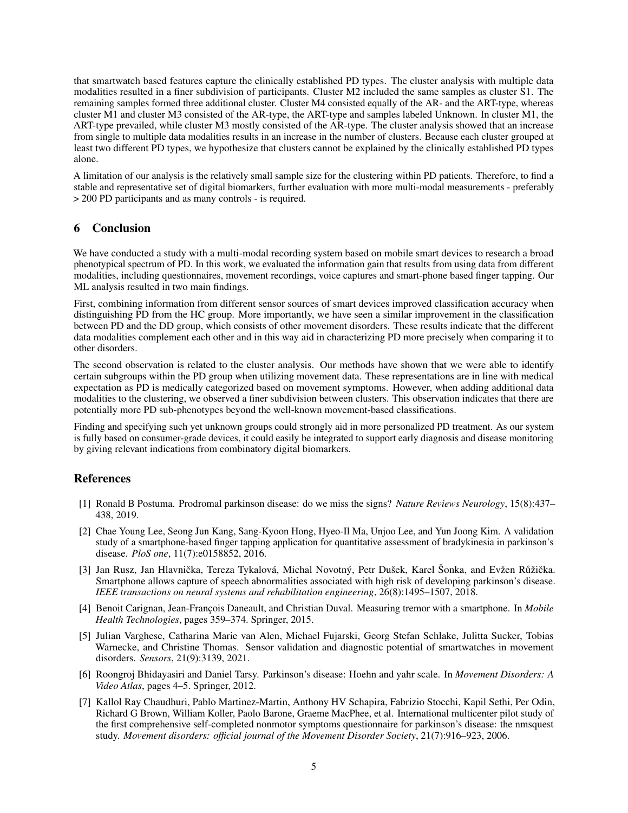that smartwatch based features capture the clinically established PD types. The cluster analysis with multiple data modalities resulted in a finer subdivision of participants. Cluster M2 included the same samples as cluster S1. The remaining samples formed three additional cluster. Cluster M4 consisted equally of the AR- and the ART-type, whereas cluster M1 and cluster M3 consisted of the AR-type, the ART-type and samples labeled Unknown. In cluster M1, the ART-type prevailed, while cluster M3 mostly consisted of the AR-type. The cluster analysis showed that an increase from single to multiple data modalities results in an increase in the number of clusters. Because each cluster grouped at least two different PD types, we hypothesize that clusters cannot be explained by the clinically established PD types alone.

A limitation of our analysis is the relatively small sample size for the clustering within PD patients. Therefore, to find a stable and representative set of digital biomarkers, further evaluation with more multi-modal measurements - preferably > 200 PD participants and as many controls - is required.

## 6 Conclusion

We have conducted a study with a multi-modal recording system based on mobile smart devices to research a broad phenotypical spectrum of PD. In this work, we evaluated the information gain that results from using data from different modalities, including questionnaires, movement recordings, voice captures and smart-phone based finger tapping. Our ML analysis resulted in two main findings.

First, combining information from different sensor sources of smart devices improved classification accuracy when distinguishing PD from the HC group. More importantly, we have seen a similar improvement in the classification between PD and the DD group, which consists of other movement disorders. These results indicate that the different data modalities complement each other and in this way aid in characterizing PD more precisely when comparing it to other disorders.

The second observation is related to the cluster analysis. Our methods have shown that we were able to identify certain subgroups within the PD group when utilizing movement data. These representations are in line with medical expectation as PD is medically categorized based on movement symptoms. However, when adding additional data modalities to the clustering, we observed a finer subdivision between clusters. This observation indicates that there are potentially more PD sub-phenotypes beyond the well-known movement-based classifications.

Finding and specifying such yet unknown groups could strongly aid in more personalized PD treatment. As our system is fully based on consumer-grade devices, it could easily be integrated to support early diagnosis and disease monitoring by giving relevant indications from combinatory digital biomarkers.

## References

- <span id="page-4-0"></span>[1] Ronald B Postuma. Prodromal parkinson disease: do we miss the signs? *Nature Reviews Neurology*, 15(8):437– 438, 2019.
- <span id="page-4-1"></span>[2] Chae Young Lee, Seong Jun Kang, Sang-Kyoon Hong, Hyeo-Il Ma, Unjoo Lee, and Yun Joong Kim. A validation study of a smartphone-based finger tapping application for quantitative assessment of bradykinesia in parkinson's disease. *PloS one*, 11(7):e0158852, 2016.
- <span id="page-4-2"></span>[3] Jan Rusz, Jan Hlavnička, Tereza Tykalová, Michal Novotný, Petr Dušek, Karel Šonka, and Evžen Růžička. Smartphone allows capture of speech abnormalities associated with high risk of developing parkinson's disease. *IEEE transactions on neural systems and rehabilitation engineering*, 26(8):1495–1507, 2018.
- <span id="page-4-3"></span>[4] Benoit Carignan, Jean-François Daneault, and Christian Duval. Measuring tremor with a smartphone. In *Mobile Health Technologies*, pages 359–374. Springer, 2015.
- <span id="page-4-4"></span>[5] Julian Varghese, Catharina Marie van Alen, Michael Fujarski, Georg Stefan Schlake, Julitta Sucker, Tobias Warnecke, and Christine Thomas. Sensor validation and diagnostic potential of smartwatches in movement disorders. *Sensors*, 21(9):3139, 2021.
- <span id="page-4-5"></span>[6] Roongroj Bhidayasiri and Daniel Tarsy. Parkinson's disease: Hoehn and yahr scale. In *Movement Disorders: A Video Atlas*, pages 4–5. Springer, 2012.
- <span id="page-4-6"></span>[7] Kallol Ray Chaudhuri, Pablo Martinez-Martin, Anthony HV Schapira, Fabrizio Stocchi, Kapil Sethi, Per Odin, Richard G Brown, William Koller, Paolo Barone, Graeme MacPhee, et al. International multicenter pilot study of the first comprehensive self-completed nonmotor symptoms questionnaire for parkinson's disease: the nmsquest study. *Movement disorders: official journal of the Movement Disorder Society*, 21(7):916–923, 2006.